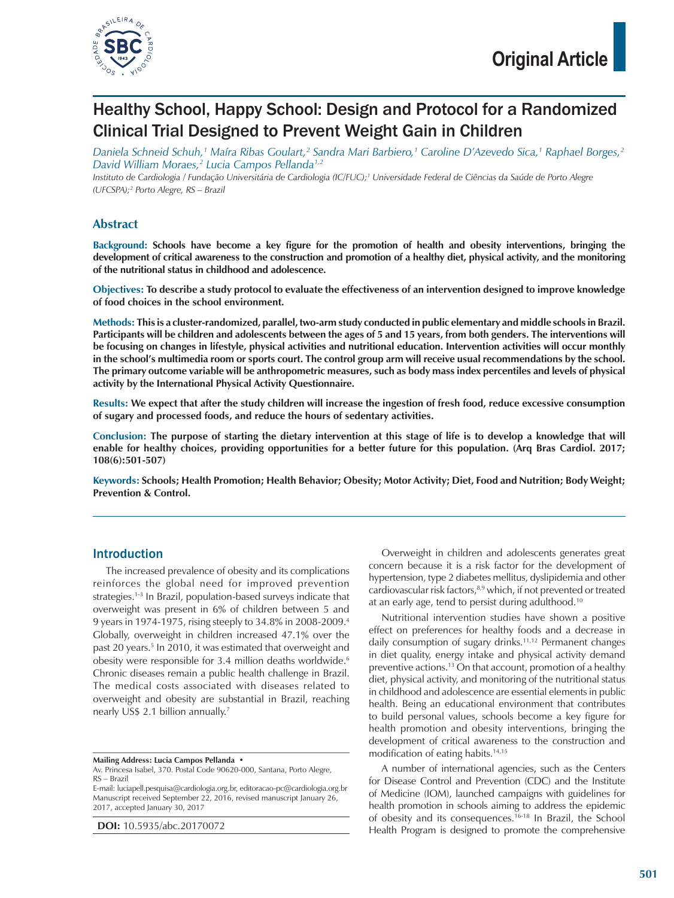

# Healthy School, Happy School: Design and Protocol for a Randomized Clinical Trial Designed to Prevent Weight Gain in Children

*Daniela Schneid Schuh,1 Maíra Ribas Goulart,2 Sandra Mari Barbiero,1 Caroline D'Azevedo Sica,1 Raphael Borges,2 David William Moraes,2 Lucia Campos Pellanda1,2*

*Instituto de Cardiologia / Fundação Universitária de Cardiologia (IC/FUC);1 Universidade Federal de Ciências da Saúde de Porto Alegre (UFCSPA);2 Porto Alegre, RS – Brazil*

# **Abstract**

**Background: Schools have become a key figure for the promotion of health and obesity interventions, bringing the development of critical awareness to the construction and promotion of a healthy diet, physical activity, and the monitoring of the nutritional status in childhood and adolescence.**

**Objectives: To describe a study protocol to evaluate the effectiveness of an intervention designed to improve knowledge of food choices in the school environment.**

**Methods: This is a cluster-randomized, parallel, two-arm study conducted in public elementary and middle schools in Brazil. Participants will be children and adolescents between the ages of 5 and 15 years, from both genders. The interventions will be focusing on changes in lifestyle, physical activities and nutritional education. Intervention activities will occur monthly in the school's multimedia room or sports court. The control group arm will receive usual recommendations by the school. The primary outcome variable will be anthropometric measures, such as body mass index percentiles and levels of physical activity by the International Physical Activity Questionnaire.**

**Results: We expect that after the study children will increase the ingestion of fresh food, reduce excessive consumption of sugary and processed foods, and reduce the hours of sedentary activities.**

**Conclusion: The purpose of starting the dietary intervention at this stage of life is to develop a knowledge that will enable for healthy choices, providing opportunities for a better future for this population. (Arq Bras Cardiol. 2017; 108(6):501-507)**

**Keywords: Schools; Health Promotion; Health Behavior; Obesity; Motor Activity; Diet, Food and Nutrition; Body Weight; Prevention & Control.**

# Introduction

The increased prevalence of obesity and its complications reinforces the global need for improved prevention strategies.1-3 In Brazil, population-based surveys indicate that overweight was present in 6% of children between 5 and 9 years in 1974-1975, rising steeply to 34.8% in 2008-2009.4 Globally, overweight in children increased 47.1% over the past 20 years.<sup>5</sup> In 2010, it was estimated that overweight and obesity were responsible for 3.4 million deaths worldwide.<sup>6</sup> Chronic diseases remain a public health challenge in Brazil. The medical costs associated with diseases related to overweight and obesity are substantial in Brazil, reaching nearly US\$ 2.1 billion annually.7

**DOI:** 10.5935/abc.20170072

Overweight in children and adolescents generates great concern because it is a risk factor for the development of hypertension, type 2 diabetes mellitus, dyslipidemia and other cardiovascular risk factors,<sup>8,9</sup> which, if not prevented or treated at an early age, tend to persist during adulthood.10

Nutritional intervention studies have shown a positive effect on preferences for healthy foods and a decrease in daily consumption of sugary drinks.<sup>11,12</sup> Permanent changes in diet quality, energy intake and physical activity demand preventive actions.13 On that account, promotion of a healthy diet, physical activity, and monitoring of the nutritional status in childhood and adolescence are essential elements in public health. Being an educational environment that contributes to build personal values, schools become a key figure for health promotion and obesity interventions, bringing the development of critical awareness to the construction and modification of eating habits.14,15

A number of international agencies, such as the Centers for Disease Control and Prevention (CDC) and the Institute of Medicine (IOM), launched campaigns with guidelines for health promotion in schools aiming to address the epidemic of obesity and its consequences.16-18 In Brazil, the School Health Program is designed to promote the comprehensive

**Mailing Address: Lucia Campos Pellanda •**

Av. Princesa Isabel, 370. Postal Code 90620-000, Santana, Porto Alegre, RS – Brazil

E-mail: luciapell.pesquisa@cardiologia.org.br, editoracao-pc@cardiologia.org.br Manuscript received September 22, 2016, revised manuscript January 26, 2017, accepted January 30, 2017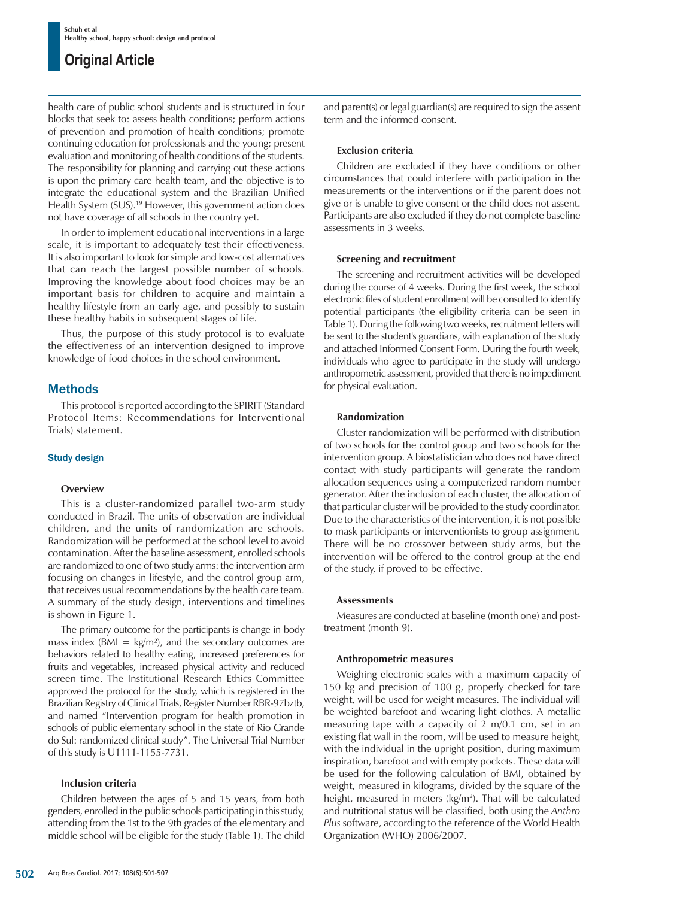health care of public school students and is structured in four blocks that seek to: assess health conditions; perform actions of prevention and promotion of health conditions; promote continuing education for professionals and the young; present evaluation and monitoring of health conditions of the students. The responsibility for planning and carrying out these actions is upon the primary care health team, and the objective is to integrate the educational system and the Brazilian Unified Health System (SUS).<sup>19</sup> However, this government action does not have coverage of all schools in the country yet.

In order to implement educational interventions in a large scale, it is important to adequately test their effectiveness. It is also important to look for simple and low-cost alternatives that can reach the largest possible number of schools. Improving the knowledge about food choices may be an important basis for children to acquire and maintain a healthy lifestyle from an early age, and possibly to sustain these healthy habits in subsequent stages of life.

Thus, the purpose of this study protocol is to evaluate the effectiveness of an intervention designed to improve knowledge of food choices in the school environment.

# **Methods**

This protocol is reported according to the SPIRIT (Standard Protocol Items: Recommendations for Interventional Trials) statement.

# Study design

# **Overview**

This is a cluster-randomized parallel two-arm study conducted in Brazil. The units of observation are individual children, and the units of randomization are schools. Randomization will be performed at the school level to avoid contamination. After the baseline assessment, enrolled schools are randomized to one of two study arms: the intervention arm focusing on changes in lifestyle, and the control group arm, that receives usual recommendations by the health care team. A summary of the study design, interventions and timelines is shown in Figure 1.

The primary outcome for the participants is change in body mass index ( $BMI = kg/m<sup>2</sup>$ ), and the secondary outcomes are behaviors related to healthy eating, increased preferences for fruits and vegetables, increased physical activity and reduced screen time. The Institutional Research Ethics Committee approved the protocol for the study, which is registered in the Brazilian Registry of Clinical Trials, Register Number RBR-97bztb, and named "Intervention program for health promotion in schools of public elementary school in the state of Rio Grande do Sul: randomized clinical study". The Universal Trial Number of this study is U1111-1155-7731.

# **Inclusion criteria**

Children between the ages of 5 and 15 years, from both genders, enrolled in the public schools participating in this study, attending from the 1st to the 9th grades of the elementary and middle school will be eligible for the study (Table 1). The child and parent(s) or legal guardian(s) are required to sign the assent term and the informed consent.

# **Exclusion criteria**

Children are excluded if they have conditions or other circumstances that could interfere with participation in the measurements or the interventions or if the parent does not give or is unable to give consent or the child does not assent. Participants are also excluded if they do not complete baseline assessments in 3 weeks.

# **Screening and recruitment**

The screening and recruitment activities will be developed during the course of 4 weeks. During the first week, the school electronic files of student enrollment will be consulted to identify potential participants (the eligibility criteria can be seen in Table 1). During the following two weeks, recruitment letters will be sent to the student's guardians, with explanation of the study and attached Informed Consent Form. During the fourth week, individuals who agree to participate in the study will undergo anthropometric assessment, provided that there is no impediment for physical evaluation.

# **Randomization**

Cluster randomization will be performed with distribution of two schools for the control group and two schools for the intervention group. A biostatistician who does not have direct contact with study participants will generate the random allocation sequences using a computerized random number generator. After the inclusion of each cluster, the allocation of that particular cluster will be provided to the study coordinator. Due to the characteristics of the intervention, it is not possible to mask participants or interventionists to group assignment. There will be no crossover between study arms, but the intervention will be offered to the control group at the end of the study, if proved to be effective.

# **Assessments**

Measures are conducted at baseline (month one) and posttreatment (month 9).

# **Anthropometric measures**

Weighing electronic scales with a maximum capacity of 150 kg and precision of 100 g, properly checked for tare weight, will be used for weight measures. The individual will be weighted barefoot and wearing light clothes. A metallic measuring tape with a capacity of 2 m/0.1 cm, set in an existing flat wall in the room, will be used to measure height, with the individual in the upright position, during maximum inspiration, barefoot and with empty pockets. These data will be used for the following calculation of BMI, obtained by weight, measured in kilograms, divided by the square of the height, measured in meters (kg/m<sup>2</sup>). That will be calculated and nutritional status will be classified, both using the *Anthro Plus* software, according to the reference of the World Health Organization (WHO) 2006/2007.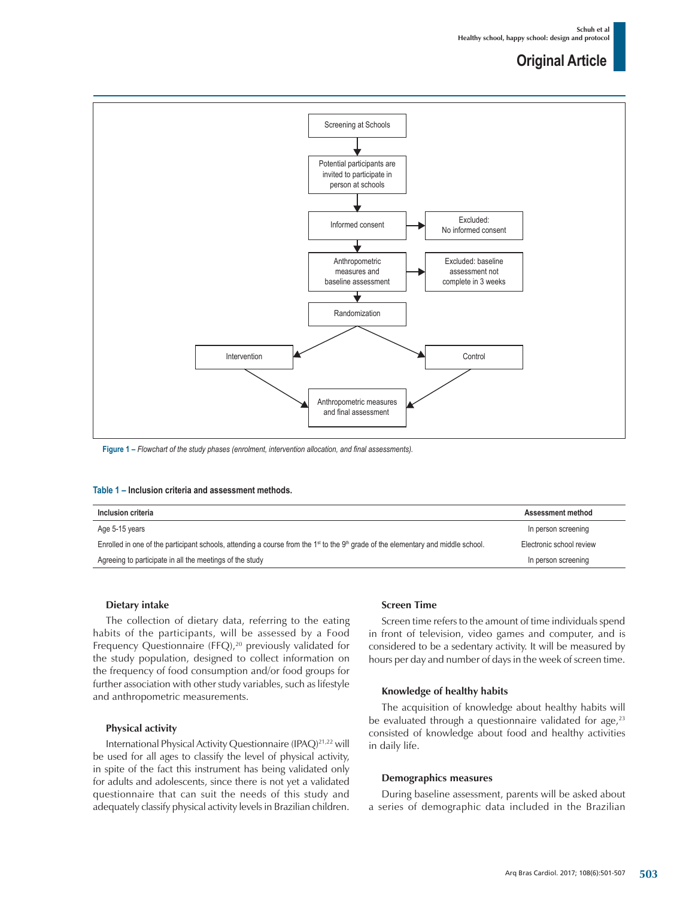

**Figure 1 –** *Flowchart of the study phases (enrolment, intervention allocation, and final assessments).*

#### **Table 1 – Inclusion criteria and assessment methods.**

| Inclusion criteria                                                                                                                                                     | Assessment method        |
|------------------------------------------------------------------------------------------------------------------------------------------------------------------------|--------------------------|
| Age 5-15 years                                                                                                                                                         | In person screening      |
| Enrolled in one of the participant schools, attending a course from the 1 <sup><math>st</math></sup> to the 9 <sup>th</sup> grade of the elementary and middle school. | Electronic school review |
| Agreeing to participate in all the meetings of the study                                                                                                               | In person screening      |

#### **Dietary intake**

The collection of dietary data, referring to the eating habits of the participants, will be assessed by a Food Frequency Questionnaire (FFQ),<sup>20</sup> previously validated for the study population, designed to collect information on the frequency of food consumption and/or food groups for further association with other study variables, such as lifestyle and anthropometric measurements.

#### **Physical activity**

International Physical Activity Questionnaire (IPAQ)21,22 will be used for all ages to classify the level of physical activity, in spite of the fact this instrument has being validated only for adults and adolescents, since there is not yet a validated questionnaire that can suit the needs of this study and adequately classify physical activity levels in Brazilian children.

### **Screen Time**

Screen time refers to the amount of time individuals spend in front of television, video games and computer, and is considered to be a sedentary activity. It will be measured by hours per day and number of days in the week of screen time.

#### **Knowledge of healthy habits**

The acquisition of knowledge about healthy habits will be evaluated through a questionnaire validated for age, $23$ consisted of knowledge about food and healthy activities in daily life.

#### **Demographics measures**

During baseline assessment, parents will be asked about a series of demographic data included in the Brazilian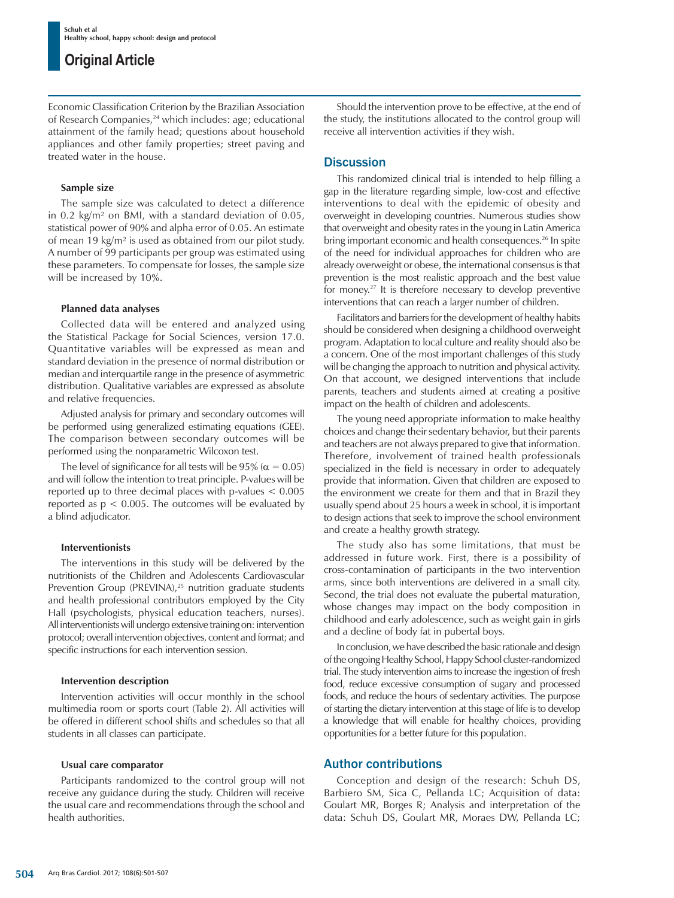Economic Classification Criterion by the Brazilian Association of Research Companies,<sup>24</sup> which includes: age; educational attainment of the family head; questions about household appliances and other family properties; street paving and treated water in the house.

# **Sample size**

The sample size was calculated to detect a difference in 0.2 kg/m² on BMI, with a standard deviation of 0.05, statistical power of 90% and alpha error of 0.05. An estimate of mean 19 kg/m² is used as obtained from our pilot study. A number of 99 participants per group was estimated using these parameters. To compensate for losses, the sample size will be increased by 10%.

# **Planned data analyses**

Collected data will be entered and analyzed using the Statistical Package for Social Sciences, version 17.0. Quantitative variables will be expressed as mean and standard deviation in the presence of normal distribution or median and interquartile range in the presence of asymmetric distribution. Qualitative variables are expressed as absolute and relative frequencies.

Adjusted analysis for primary and secondary outcomes will be performed using generalized estimating equations (GEE). The comparison between secondary outcomes will be performed using the nonparametric Wilcoxon test.

The level of significance for all tests will be 95% ( $\alpha = 0.05$ ) and will follow the intention to treat principle. P-values will be reported up to three decimal places with p-values < 0.005 reported as  $p < 0.005$ . The outcomes will be evaluated by a blind adjudicator.

# **Interventionists**

The interventions in this study will be delivered by the nutritionists of the Children and Adolescents Cardiovascular Prevention Group (PREVINA),<sup>25</sup> nutrition graduate students and health professional contributors employed by the City Hall (psychologists, physical education teachers, nurses). All interventionists will undergo extensive training on: intervention protocol; overall intervention objectives, content and format; and specific instructions for each intervention session.

# **Intervention description**

Intervention activities will occur monthly in the school multimedia room or sports court (Table 2). All activities will be offered in different school shifts and schedules so that all students in all classes can participate.

# **Usual care comparator**

Participants randomized to the control group will not receive any guidance during the study. Children will receive the usual care and recommendations through the school and health authorities.

Should the intervention prove to be effective, at the end of the study, the institutions allocated to the control group will receive all intervention activities if they wish.

# **Discussion**

This randomized clinical trial is intended to help filling a gap in the literature regarding simple, low-cost and effective interventions to deal with the epidemic of obesity and overweight in developing countries. Numerous studies show that overweight and obesity rates in the young in Latin America bring important economic and health consequences.<sup>26</sup> In spite of the need for individual approaches for children who are already overweight or obese, the international consensus is that prevention is the most realistic approach and the best value for money.27 It is therefore necessary to develop preventive interventions that can reach a larger number of children.

Facilitators and barriers for the development of healthy habits should be considered when designing a childhood overweight program. Adaptation to local culture and reality should also be a concern. One of the most important challenges of this study will be changing the approach to nutrition and physical activity. On that account, we designed interventions that include parents, teachers and students aimed at creating a positive impact on the health of children and adolescents.

The young need appropriate information to make healthy choices and change their sedentary behavior, but their parents and teachers are not always prepared to give that information. Therefore, involvement of trained health professionals specialized in the field is necessary in order to adequately provide that information. Given that children are exposed to the environment we create for them and that in Brazil they usually spend about 25 hours a week in school, it is important to design actions that seek to improve the school environment and create a healthy growth strategy.

The study also has some limitations, that must be addressed in future work. First, there is a possibility of cross-contamination of participants in the two intervention arms, since both interventions are delivered in a small city. Second, the trial does not evaluate the pubertal maturation, whose changes may impact on the body composition in childhood and early adolescence, such as weight gain in girls and a decline of body fat in pubertal boys.

In conclusion, we have described the basic rationale and design of the ongoing Healthy School, Happy School cluster-randomized trial. The study intervention aims to increase the ingestion of fresh food, reduce excessive consumption of sugary and processed foods, and reduce the hours of sedentary activities. The purpose of starting the dietary intervention at this stage of life is to develop a knowledge that will enable for healthy choices, providing opportunities for a better future for this population.

# Author contributions

Conception and design of the research: Schuh DS, Barbiero SM, Sica C, Pellanda LC; Acquisition of data: Goulart MR, Borges R; Analysis and interpretation of the data: Schuh DS, Goulart MR, Moraes DW, Pellanda LC;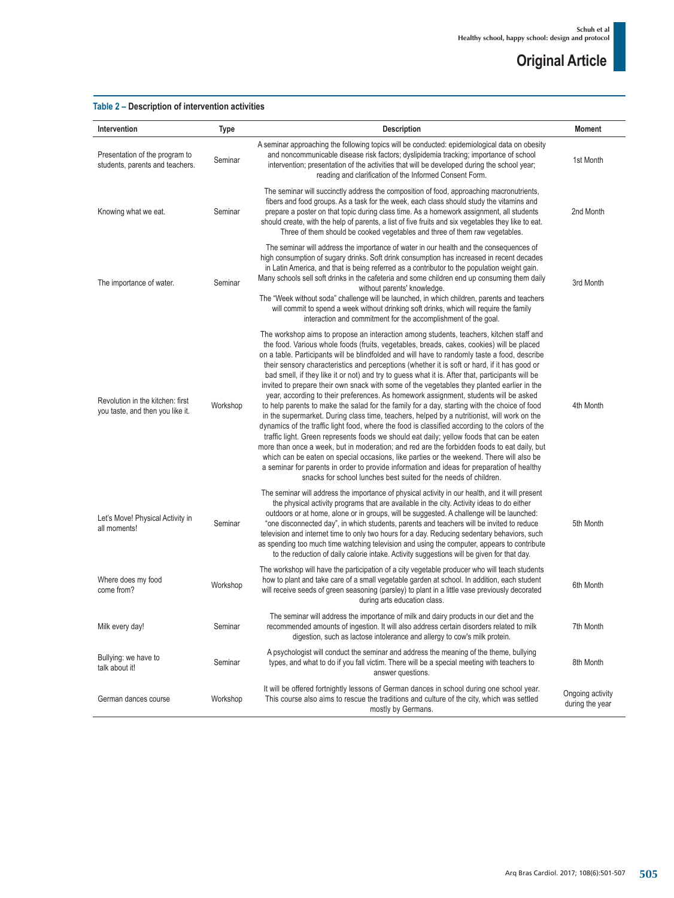# **Table 2 – Description of intervention activities**

| Intervention                                                         | Type     | <b>Description</b>                                                                                                                                                                                                                                                                                                                                                                                                                                                                                                                                                                                                                                                                                                                                                                                                                                                                                                                                                                                                                                                                                                                                                                                                                                                                                                                                                                                                                          | <b>Moment</b>                       |
|----------------------------------------------------------------------|----------|---------------------------------------------------------------------------------------------------------------------------------------------------------------------------------------------------------------------------------------------------------------------------------------------------------------------------------------------------------------------------------------------------------------------------------------------------------------------------------------------------------------------------------------------------------------------------------------------------------------------------------------------------------------------------------------------------------------------------------------------------------------------------------------------------------------------------------------------------------------------------------------------------------------------------------------------------------------------------------------------------------------------------------------------------------------------------------------------------------------------------------------------------------------------------------------------------------------------------------------------------------------------------------------------------------------------------------------------------------------------------------------------------------------------------------------------|-------------------------------------|
| Presentation of the program to<br>students, parents and teachers.    | Seminar  | A seminar approaching the following topics will be conducted: epidemiological data on obesity<br>and noncommunicable disease risk factors; dyslipidemia tracking; importance of school<br>intervention; presentation of the activities that will be developed during the school year;<br>reading and clarification of the Informed Consent Form.                                                                                                                                                                                                                                                                                                                                                                                                                                                                                                                                                                                                                                                                                                                                                                                                                                                                                                                                                                                                                                                                                            | 1st Month                           |
| Knowing what we eat.                                                 | Seminar  | The seminar will succinctly address the composition of food, approaching macronutrients,<br>fibers and food groups. As a task for the week, each class should study the vitamins and<br>prepare a poster on that topic during class time. As a homework assignment, all students<br>should create, with the help of parents, a list of five fruits and six vegetables they like to eat.<br>Three of them should be cooked vegetables and three of them raw vegetables.                                                                                                                                                                                                                                                                                                                                                                                                                                                                                                                                                                                                                                                                                                                                                                                                                                                                                                                                                                      | 2nd Month                           |
| The importance of water.                                             | Seminar  | The seminar will address the importance of water in our health and the consequences of<br>high consumption of sugary drinks. Soft drink consumption has increased in recent decades<br>in Latin America, and that is being referred as a contributor to the population weight gain.<br>Many schools sell soft drinks in the cafeteria and some children end up consuming them daily<br>without parents' knowledge.<br>The "Week without soda" challenge will be launched, in which children, parents and teachers<br>will commit to spend a week without drinking soft drinks, which will require the family<br>interaction and commitment for the accomplishment of the goal.                                                                                                                                                                                                                                                                                                                                                                                                                                                                                                                                                                                                                                                                                                                                                              | 3rd Month                           |
| Revolution in the kitchen: first<br>you taste, and then you like it. | Workshop | The workshop aims to propose an interaction among students, teachers, kitchen staff and<br>the food. Various whole foods (fruits, vegetables, breads, cakes, cookies) will be placed<br>on a table. Participants will be blindfolded and will have to randomly taste a food, describe<br>their sensory characteristics and perceptions (whether it is soft or hard, if it has good or<br>bad smell, if they like it or not) and try to guess what it is. After that, participants will be<br>invited to prepare their own snack with some of the vegetables they planted earlier in the<br>year, according to their preferences. As homework assignment, students will be asked<br>to help parents to make the salad for the family for a day, starting with the choice of food<br>in the supermarket. During class time, teachers, helped by a nutritionist, will work on the<br>dynamics of the traffic light food, where the food is classified according to the colors of the<br>traffic light. Green represents foods we should eat daily; yellow foods that can be eaten<br>more than once a week, but in moderation; and red are the forbidden foods to eat daily, but<br>which can be eaten on special occasions, like parties or the weekend. There will also be<br>a seminar for parents in order to provide information and ideas for preparation of healthy<br>snacks for school lunches best suited for the needs of children. | 4th Month                           |
| Let's Move! Physical Activity in<br>all moments!                     | Seminar  | The seminar will address the importance of physical activity in our health, and it will present<br>the physical activity programs that are available in the city. Activity ideas to do either<br>outdoors or at home, alone or in groups, will be suggested. A challenge will be launched:<br>"one disconnected day", in which students, parents and teachers will be invited to reduce<br>television and internet time to only two hours for a day. Reducing sedentary behaviors, such<br>as spending too much time watching television and using the computer, appears to contribute<br>to the reduction of daily calorie intake. Activity suggestions will be given for that day.                                                                                                                                                                                                                                                                                                                                                                                                                                                                                                                                                                                                                                                                                                                                                        | 5th Month                           |
| Where does my food<br>come from?                                     | Workshop | The workshop will have the participation of a city vegetable producer who will teach students<br>how to plant and take care of a small vegetable garden at school. In addition, each student<br>will receive seeds of green seasoning (parsley) to plant in a little vase previously decorated<br>during arts education class.                                                                                                                                                                                                                                                                                                                                                                                                                                                                                                                                                                                                                                                                                                                                                                                                                                                                                                                                                                                                                                                                                                              | 6th Month                           |
| Milk every day!                                                      | Seminar  | The seminar will address the importance of milk and dairy products in our diet and the<br>recommended amounts of ingestion. It will also address certain disorders related to milk<br>digestion, such as lactose intolerance and allergy to cow's milk protein.                                                                                                                                                                                                                                                                                                                                                                                                                                                                                                                                                                                                                                                                                                                                                                                                                                                                                                                                                                                                                                                                                                                                                                             | 7th Month                           |
| Bullying: we have to<br>talk about it!                               | Seminar  | A psychologist will conduct the seminar and address the meaning of the theme, bullying<br>types, and what to do if you fall victim. There will be a special meeting with teachers to<br>answer questions.                                                                                                                                                                                                                                                                                                                                                                                                                                                                                                                                                                                                                                                                                                                                                                                                                                                                                                                                                                                                                                                                                                                                                                                                                                   | 8th Month                           |
| German dances course                                                 | Workshop | It will be offered fortnightly lessons of German dances in school during one school year.<br>This course also aims to rescue the traditions and culture of the city, which was settled<br>mostly by Germans.                                                                                                                                                                                                                                                                                                                                                                                                                                                                                                                                                                                                                                                                                                                                                                                                                                                                                                                                                                                                                                                                                                                                                                                                                                | Ongoing activity<br>during the year |